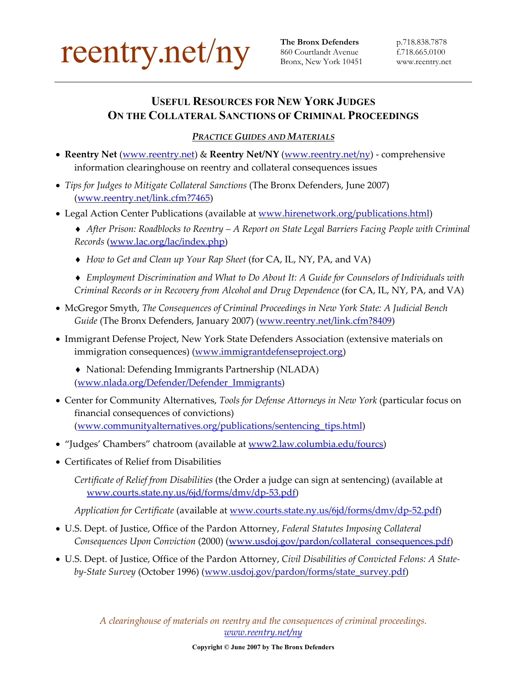

**The Bronx Defenders** p.718.838.7878 Bronx, New York 10451

## **USEFUL RESOURCES FOR NEW YORK JUDGES ON THE COLLATERAL SANCTIONS OF CRIMINAL PROCEEDINGS**

## *PRACTICE GUIDES AND MATERIALS*

- **Reentry Net** [\(www.reentry.net](http://www.reentry.net/)) & **Reentry Net/NY** ([www.reentry.net/ny](http://www.reentry.net/ny)) comprehensive information clearinghouse on reentry and collateral consequences issues
- *Tips for Judges to Mitigate Collateral Sanctions* (The Bronx Defenders, June 2007) [\(www.reentry.net/link.cfm?7465](http://www.reentry.net/link.cfm?7465))
- Legal Action Center Publications (available at [www.hirenetwork.org/publications.html](http://www.hirenetwork.org/publications.html))

♦ *After Prison: Roadblocks to Reentry – A Report on State Legal Barriers Facing People with Criminal Records* ([www.lac.org/lac/index.php](http://www.lac.org/lac/index.php))

- ♦ *How to Get and Clean up Your Rap Sheet* (for CA, IL, NY, PA, and VA)
- ♦ *Employment Discrimination and What to Do About It: A Guide for Counselors of Individuals with Criminal Records or in Recovery from Alcohol and Drug Dependence* (for CA, IL, NY, PA, and VA)
- McGregor Smyth, *The Consequences of Criminal Proceedings in New York State: A Judicial Bench*  Guide (The Bronx Defenders, January 2007) [\(www.reentry.net/link.cfm?8409](http://www.reentry.net/link.cfm?8409))
- Immigrant Defense Project, New York State Defenders Association (extensive materials on immigration consequences) ([www.immigrantdefenseproject.org](http://www.immigrantdefenseproject.org/))
	- ♦ National: Defending Immigrants Partnership (NLADA) [\(www.nlada.org/Defender/Defender\\_Immigrants](http://www.nlada.org/Defender/Defender_Immigrants))
- Center for Community Alternatives, *Tools for Defense Attorneys in New York* (particular focus on financial consequences of convictions) [\(www.communityalternatives.org/publications/sentencing\\_tips.html](http://www.communityalternatives.org/publications/sentencing_tips.html))
- "Judges' Chambers" chatroom (available at [www2.law.columbia.edu/fourcs](http://www2.law.columbia.edu/fourcs))
- Certificates of Relief from Disabilities

*Certificate of Relief from Disabilities* (the Order a judge can sign at sentencing) (available at [www.courts.state.ny.us/6jd/forms/dmv/dp-53.pdf\)](http://www.courts.state.ny.us/6jd/forms/dmv/dp-53.pdf)

*Application for Certificate* (available at [www.courts.state.ny.us/6jd/forms/dmv/dp-52.pdf\)](http://www.courts.state.ny.us/6jd/forms/dmv/dp-52.pdf)

- U.S. Dept. of Justice, Office of the Pardon Attorney, *Federal Statutes Imposing Collateral Consequences Upon Conviction* (2000) [\(www.usdoj.gov/pardon/collateral\\_consequences.pdf](http://www.usdoj.gov/pardon/collateral_consequences.pdf))
- U.S. Dept. of Justice, Office of the Pardon Attorney, *Civil Disabilities of Convicted Felons: A Stateby-State Survey* (October 1996) ([www.usdoj.gov/pardon/forms/state\\_survey.pdf](http://www.usdoj.gov/pardon/forms/state_survey.pdf))

*A clearinghouse of materials on reentry and the consequences of criminal proceedings. www.reentry.net/ny*